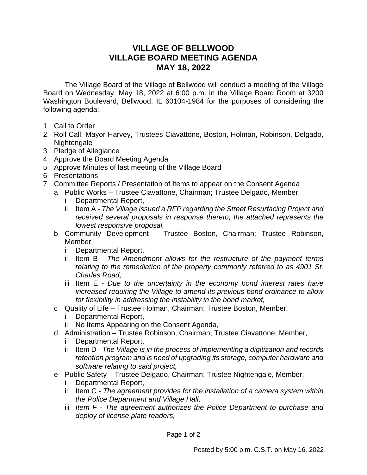## **VILLAGE OF BELLWOOD VILLAGE BOARD MEETING AGENDA MAY 18, 2022**

The Village Board of the Village of Bellwood will conduct a meeting of the Village Board on Wednesday, May 18, 2022 at 6:00 p.m. in the Village Board Room at 3200 Washington Boulevard, Bellwood, IL 60104-1984 for the purposes of considering the following agenda:

- 1 Call to Order
- 2 Roll Call: Mayor Harvey, Trustees Ciavattone, Boston, Holman, Robinson, Delgado, Nightengale
- 3 Pledge of Allegiance
- 4 Approve the Board Meeting Agenda
- 5 Approve Minutes of last meeting of the Village Board
- 6 Presentations
- 7 Committee Reports / Presentation of Items to appear on the Consent Agenda
	- a Public Works Trustee Ciavattone, Chairman; Trustee Delgado, Member,
		- i Departmental Report,
		- ii Item A *The Village issued a RFP regarding the Street Resurfacing Project and received several proposals in response thereto, the attached represents the lowest responsive proposal,*
		- b Community Development Trustee Boston, Chairman; Trustee Robinson, Member,
			- i Departmental Report,
			- ii Item B *The Amendment allows for the restructure of the payment terms relating to the remediation of the property commonly referred to as 4901 St. Charles Road,*
			- iii Item E *Due to the uncertainty in the economy bond interest rates have increased requiring the Village to amend its previous bond ordinance to allow for flexibility in addressing the instability in the bond market,*
		- c Quality of Life Trustee Holman, Chairman; Trustee Boston, Member,
			- i Departmental Report,
			- ii No Items Appearing on the Consent Agenda*,*
		- d Administration Trustee Robinson, Chairman; Trustee Ciavattone, Member,
			- i Departmental Report,
			- ii Item D *The Village is in the process of implementing a digitization and records retention program and is need of upgrading its storage, computer hardware and software relating to said project,*
		- e Public Safety Trustee Delgado, Chairman; Trustee Nightengale, Member,
			- i Departmental Report,
			- ii Item C *The agreement provides for the installation of a camera system within the Police Department and Village Hall,*
			- iii *Item F - The agreement authorizes the Police Department to purchase and deploy of license plate readers,*